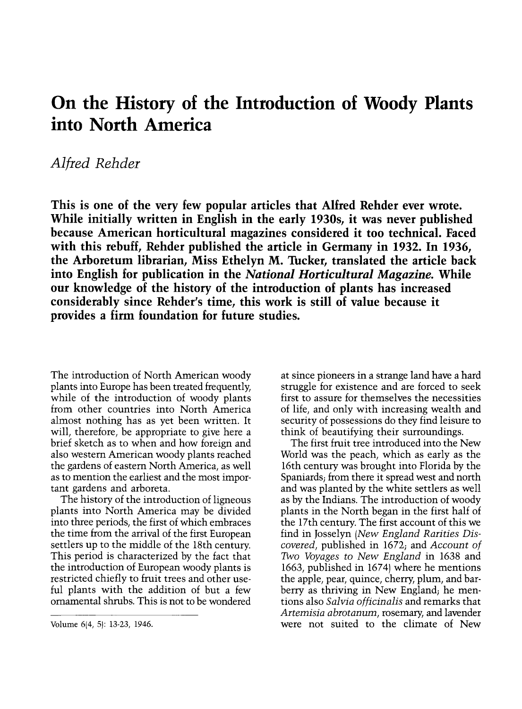## On the History of the Introduction of Woody Plants into North America

## Alfred Rehder

This is one of the very few popular articles that Alfred Rehder ever wrote. While initially written in English in the early 1930s, it was never published because American horticultural magazines considered it too technical. Faced with this rebuff, Rehder published the article in Germany in 1932. In 1936, the Arboretum librarian, Miss Ethelyn M. Tucker, translated the article back into English for publication in the National Horticultural Magazine. While our knowledge of the history of the introduction of plants has increased considerably since Rehder's time, this work is still of value because it provides a firm foundation for future studies.

The introduction of North American woody plants into Europe has been treated frequently, while of the introduction of woody plants from other countries into North America almost nothing has as yet been written. It will, therefore, be appropriate to give here a brief sketch as to when and how foreign and also western American woody plants reached the gardens of eastern North America, as well as to mention the earliest and the most impor tant gardens and arboreta.

The history of the introduction of ligneous plants into North America may be divided into three periods, the first of which embraces the time from the arrival of the first European settlers up to the middle of the 18th century. This period is characterized by the fact that the introduction of European woody plants is restricted chiefly to fruit trees and other useful plants with the addition of but a few ornamental shrubs. This is not to be wondered

at since pioneers in a strange land have a hard struggle for existence and are forced to seek first to assure for themselves the necessities of life, and only with increasing wealth and security of possessions do they find leisure to think of beautifying their surroundings.

The first fruit tree introduced into the New World was the peach, which as early as the 16th century was brought into Florida by the Spaniards; from there it spread west and north and was planted by the white settlers as well as by the Indians. The introduction of woody plants in the North began in the first half of the 17th century. The first account of this we find in Josselyn (New England Rarities Discovered, published in 1672; and Account of Two Voyages to New England in 1638 and 1663, published in 1674) where he mentions the apple, pear, quince, cherry, plum, and barberry as thriving in New England; he mentions also Salvia officinalis and remarks that Artemisia abrotanum, rosemary, and lavender were not suited to the climate of New

Volume 6(4, 5): 13-23, 1946.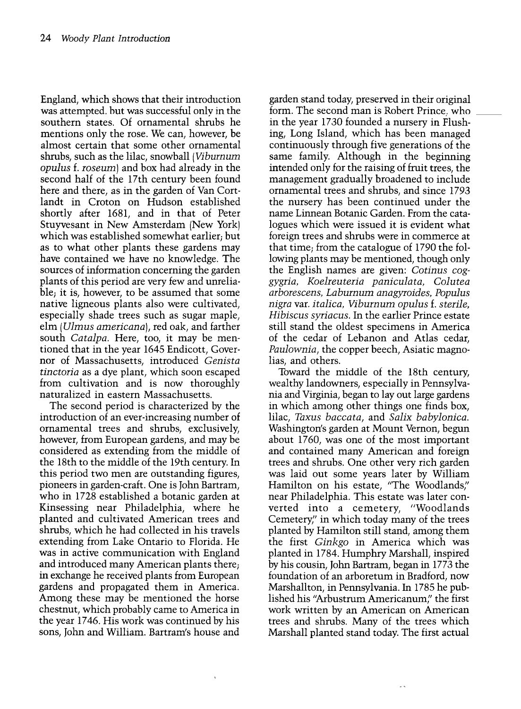England, which shows that their introduction was attemnted, but was successful only in the southern states. Of ornamental shrubs he mentions only the rose. We can, however, be almost certain that some other ornamental shrubs, such as the lilac, snowball (Viburnum opulus f. roseum) and box had already in the second half of the 17th century been found here and there, as in the garden of Van Cortlandt in Croton on Hudson established shortly after 1681, and in that of Peter Stuyvesant in New Amsterdam (New York) which was established somewhat earlier; but as to what other plants these gardens may have contained we have no knowledge. The sources of information concerning the garden plants of this period are very few and unreliable; it is, however, to be assumed that some native ligneous plants also were cultivated, especially shade trees such as sugar maple, elm (Ulmus americana), red oak, and farther south Catalpa. Here, too, it may be mentioned that in the year 1645 Endicott, Governor of Massachusetts, introduced Genista tinctoria as a dye plant, which soon escaped from cultivation and is now thoroughly naturalized in eastern Massachusetts.

The second period is characterized by the introduction of an ever-increasing number of ornamental trees and shrubs, exclusively, however, from European gardens, and may be considered as extending from the middle of the 18th to the middle of the 19th century. In this period two men are outstanding figures, pioneers in garden-craft. One is John Bartram, who in 1728 established a botanic garden at Kinsessing near Philadelphia, where he planted and cultivated American trees and shrubs, which he had collected in his travels extending from Lake Ontario to Florida. He was in active communication with England and introduced many American plants there; in exchange he received plants from European gardens and propagated them in America. Among these may be mentioned the horse chestnut, which probably came to America in the year 1746. His work was continued by his sons, John and William. Bartram's house and

garden stand today, preserved in their original form. The second man is Robert Prince. who in the year 1730 founded a nursery in Flushing, Long Island, which has been managed continuously through five generations of the same family. Although in the beginning intended only for the raising of fruit trees, the management gradually broadened to include ornamental trees and shrubs, and since 1793 the nursery has been continued under the name Linnean Botanic Garden. From the catalogues which were issued it is evident what foreign trees and shrubs were in commerce at that time; from the catalogue of 1790 the following plants may be mentioned, though only the English names are given: Cotinus coggygria, Koelreuteria paniculata, Colutea arborescens, Laburnum anagyroides, Populus nigra var. italica, Viburnum opulus f. sterile, Hibiscus syriacus. In the earlier Prince estate still stand the oldest specimens in America of the cedar of Lebanon and Atlas cedar, Paulownia, the copper beech, Asiatic magnolias, and others.

Toward the middle of the 18th century, wealthy landowners, especially in Pennsylvania and Virginia, began to lay out large gardens in which among other things one finds box, lilac, Taxus baccata, and Salix babylonica. Washington's garden at Mount Vernon, begun about 1760, was one of the most important and contained many American and foreign was laid out some years later by William Hamilton on his estate, "The Woodlands," near Philadelphia. This estate was later converted into a cemetery, "Woodlands Cemetery," in which today many of the trees planted by Hamilton still stand, among them the first Ginkgo in America which was planted in 1784. Humphry Marshall, inspired by his cousin, John Bartram, began in 1773 the foundation of an arboretum in Bradford, now Marshallton, in Pennsylvania. In 1785 he published his "Arbustrum Americanum' the first work written by an American on American trees and shrubs. Many of the trees which Marshall planted stand today. The first actual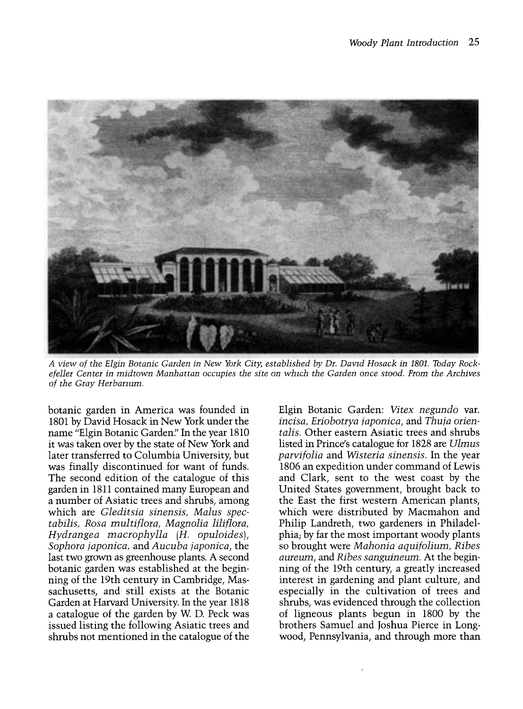

A view of the Elgin Botanic Garden in New York City, established by Dr. David Hosack in 1801. Tbday Rockefeller Center in midtown Manhattan occupies the site on which the Garden once stood. From the Archives of the Gray Herbanum.

botanic garden in America was founded in 1801 by David Hosack in New York under the name "Elgin Botanic Garden." In the year 1810 it was taken over by the state of New York and later transferred to Columbia University, but was finally discontinued for want of funds. The second edition of the catalogue of this garden in 1811 contained many European and a number of Asiatic trees and shrubs, among which are Gleditsia sinensis, Malus spectabilis, Rosa multiflora, Magnolia liliflora, Hydrangea macrophylla (H. opuloides), Sophora japonica, and Aucuba japonica, the last two grown as greenhouse plants. A second botanic garden was established at the beginning of the 19th century in Cambridge, Massachusetts, and still exists at the Botanic Garden at Harvard University. In the year 1818 a catalogue of the garden by W D. Peck was issued listing the following Asiatic trees and shrubs not mentioned in the catalogue of the

Elgin Botanic Garden: Vitex negundo var. incisa, Eriobotrya japonica, and Thuia orientalis. Other eastern Asiatic trees and shrubs listed in Prince's catalogue for 1828 are Ulmus parvifolia and Wisteria sinensis. In the year 1806 an expedition under command of Lewis and Clark, sent to the west coast by the United States government, brought back to the East the first western American plants, which were distributed by Macmahon and Philip Landreth, two gardeners in Philadelso brought were *Mahonia aquifolium*, Ribes aureum, and Ribes sanguineum. At the beginning of the 19th century, a greatly increased interest in gardening and plant culture, and especially in the cultivation of trees and shrubs, was evidenced through the collection of ligneous plants begun in 1800 by the brothers Samuel and Joshua Pierce in Longwood, Pennsylvania, and through more than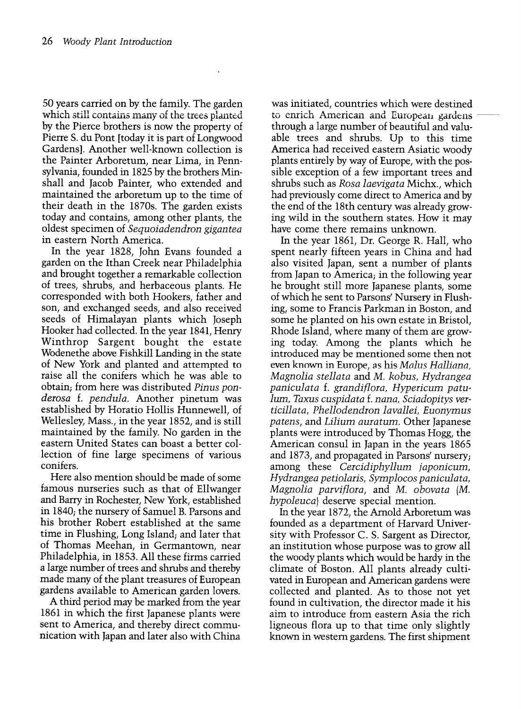50 years carried on by the family. The garden which still contains many of the trees planted I by the Pierce brothers is now the property of Pierre S. du Pont [today it is part of Longwood Gardens]. Another well-known collection is the Painter Arboretum, near Lima, in Pennsylvania, founded in 1825 by the brothers Minshall and Jacob Painter, who extended and maintained the arboretum up to the time of their death in the 1870s. The garden exists today and contains, among other plants, the oldest specimen of Sequoiadendron gigantea in eastern North America.

In the year 1828, John Evans founded a and brought together a remarkable collection of trees, shrubs, and herbaceous plants. He corresponded with both Hookers, father and son, and exchanged seeds, and also received seeds of Himalayan plants which Joseph Hooker had collected. In the year 1841, Henry Winthrop Sargent bought the estate Wodenethe above Fishkill Landing in the state of New York and planted and attempted to raise all the conifers which he was able to obtain; from here was distributed Pinus ponderosa f. pendula. Another pinetum was established by Horatio Hollis Hunnewell, of Wellesley, Mass., in the year 1852, and is still maintained by the family. No garden in the eastern United States can boast a better collection of fine large specimens of various conifers.

Here also mention should be made of some famous nurseries such as that of Ellwanger and Barry in Rochester, New York, established in 1840; the nursery of Samuel B. Parsons and his brother Robert established at the same time in Flushing, Long Island; and later that of Thomas Meehan, in Germantown, near Philadelphia, in 1853. All these firms carried made many of the plant treasures of European gardens available to American garden lovers.

A third period may be marked from the year 1861 in which the first Japanese plants were sent to America, and thereby direct communication with Japan and later also with China was initiated, countries which were destined to enrich American and European gardens through a large number of beautiful and valuable trees and shrubs. Up to this time America had received eastern Asiatic woody plants entirely by way of Europe, with the possible exception of a few important trees and shrubs such as Rosa laevigata Michx., which had previously come direct to America and by the end of the 18th century was already growing wild in the southern states. How it may have come there remains unknown.

In the year 1861, Dr. George R. Hall, who spent nearly fifteen years in China and had also visited Japan, sent a number of plants from Japan to America; in the following year he brought still more Japanese plants, some of which he sent to Parsons' Nursery in Flushing, some to Francis Parkman in Boston, and some he planted on his own estate in Bristol, Rhode Island, where many of them are growing today. Among the plants which he introduced may be mentioned some then not even known in Europe, as his Malus Halliana, Magnolia stellata and M. kobus, Hydrangea paniculata f. grandiflora, Hypericum patulum, Taxus cuspidata f. nana, Sciadopitys verticillata, Phellodendron lavallei, Euonymus patens, and Lilium auratum. Other Japanese plants were introduced by Thomas Hogg, the American consul in Japan in the years 1865 and 1873, and propagated in Parsons' nursery; among these Cercidiphyllum japonicum, Hydrangea petiolaris, Symplocos paniculata, Magnolia parviflora, and M. obovata (M. hypoleuca) deserve special mention.

In the year 1872, the Arnold Arboretum was founded as a department of Harvard University with Professor C. S. Sargent as Director, an institution whose purpose was to grow all the woody plants which would be hardy in the climate of Boston. All plants already cultivated in European and American gardens were collected and planted. As to those not yet found in cultivation, the director made it his aim to introduce from eastern Asia the rich ligneous flora up to that time only slightly known in western gardens. The first shipment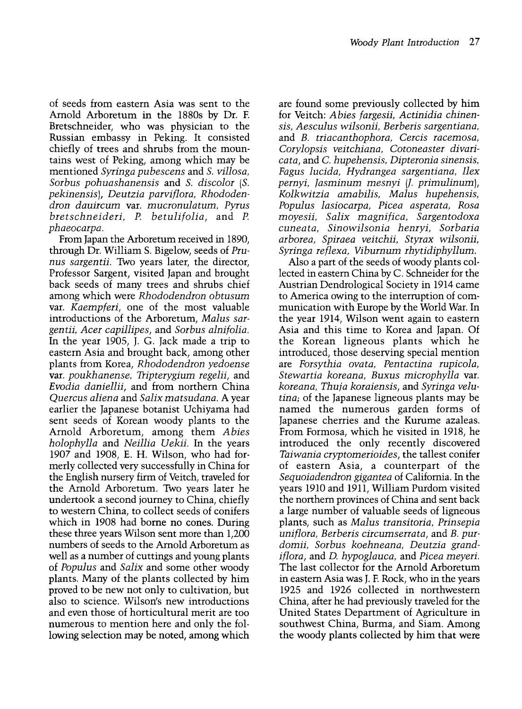of seeds from eastern Asia was sent to the Arnold Arboretum in the 1880s by Dr. F. Bretschneider, who was physician to the Russian embassy in Peking. It consisted chiefly of trees and shrubs from the mountains west of Peking, among which may be mentioned Syringa pubescens and S. villosa, Sorbus pohuashanensis and S. discolor (S. pekinensis), Deutzia parviflora, Rhododendron dauircum var. mucronulatum, Pyrus bretschneideri, P. betulifolia, and P. phaeocarpa.

From Japan the Arboretum received in 1890, through Dr. William S. Bigelow, seeds of Prunus sargentii. Two years later, the director, Professor Sargent, visited Japan and brought back seeds of many trees and shrubs chief among which were Rhododendron obtusum var. Kaempferi, one of the most valuable introductions of the Arboretum, Malus sargentii, Acer capillipes, and Sorbus alnifolia. In the year 1905, J. G. Jack made a trip to eastern Asia and brought back, among other plants from Korea, Rhododendron yedoense var. poukhanense, Tripterygium regelii, and Evodia daniellii, and from northern China Quercus aliena and Salix matsudana. A year earlier the Japanese botanist Uchiyama had sent seeds of Korean woody plants to the Arnold Arboretum, among them Abies holophylla and Neillia Uekii. In the years 1907 and 1908, E. H. Wilson, who had formerly collected very successfully in China for the English nursery firm of Veitch, traveled for the Arnold Arboretum. Two years later he undertook a second journey to China, chiefly to western China, to collect seeds of conifers which in 1908 had borne no cones. During these three years Wilson sent more than 1,200 numbers of seeds to the Arnold Arboretum as well as a number of cuttings and young plants of Populus and Salix and some other woody plants. Many of the plants collected by him proved to be new not only to cultivation, but also to science. Wilson's new introductions and even those of horticultural merit are too numerous to mention here and only the following selection may be noted, among which are found some previously collected by him for Veitch: Abies fargesii, Actinidia chinensis, Aesculus wilsonii, Berberis sargentiana, and B. triacanthophora, Cercis racemosa, Corylopsis veitchiana, Cotoneaster divaricata, and C. hupehensis, Dipteronia sinensis, Fagus lucida, Hydrangea sargentiana, Ilex pernyi, Jasminum mesnyi (J. primulinum), Kolkwitzia amabilis, Malus hupehensis, Populus lasiocarpa, Picea asperata, Rosa moyesii, Salix magnifica, Sargentodoxa cuneata, Sinowilsonia henryi, Sorbaria arborea, Spiraea veitchii, Styrax wilsonii, Syringa reflexa, Viburnum rhytidiphyllum.

Also a part of the seeds of woody plants collected in eastern China by C. Schneider for the Austrian Dendrological Society in 1914 came to America owing to the interruption of communication with Europe by the World War. In the year 1914, Wilson went again to eastern Asia and this time to Korea and Japan. Of the Korean ligneous plants which he introduced, those deserving special mention are Forsythia ovata, Pentactina rupicola, Stewartia koreana, Buxus microphylla var. koreana, Thuja koraiensis, and Syringa velutina, of the Japanese ligneous plants may be named the numerous garden forms of Japanese cherries and the Kurume azaleas. From Formosa, which he visited in 1918, he introduced the only recently discovered Taiwania cryptomerioides, the tallest conifer of eastern Asia, a counterpart of the Sequoiadendron gigantea of California. In the years 1910 and 1911, William Purdom visited the northern provinces of China and sent back a large number of valuable seeds of ligneous plants, such as Malus transitoria, Prinsepia uniflora, Berberis circumserrata, and B. purdomii, Sorbus koehneana, Deutzia grandiflora, and D. hypoglauca, and Picea meyeri. The last collector for the Arnold Arboretum in eastern Asia was J. F. Rock, who in the years 1925 and 1926 collected in northwestern China, after he had previously traveled for the United States Department of Agriculture in southwest China, Burma, and Siam. Among the woody plants collected by him that were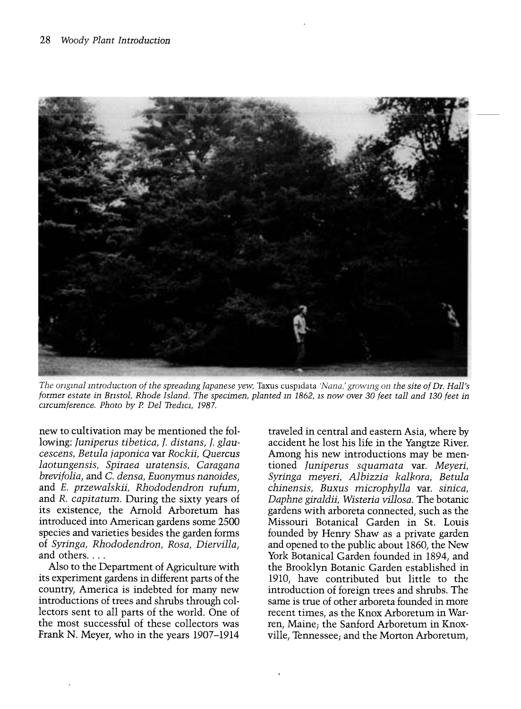

The ongmal introduction of the spreadmg Japanese yew, Taxus cuspidata 'Nana,' growing on the site of Dr. Hall's former estate in Bristol, Rhode Island. The specimen, planted m 1862, is now over 30 feet tall and 130 feet in circumference. Photo by P Del Tredici, 1987.

new to cultivation may be mentioned the following: Juniperus tibetica, J. distans, J. glaucescens, Betula japonica var Rockii, Quercus laotungensis, Spiraea uratensis, Caragana brevifolia, and C. densa, Euonymus nanoides, and E. przewalskii, Rhododendron rufum, and R. capitatum. During the sixty years of its existence, the Arnold Arboretum has introduced into American gardens some 2500 species and varieties besides the garden forms of Syringa, Rhododendron, Rosa, Diervilla, and others....

Also to the Department of Agriculture with its experiment gardens in different parts of the country, America is indebted for many new introductions of trees and shrubs through collectors sent to all parts of the world. One of the most successful of these collectors was Frank N. Meyer, who in the years 1907-1914

traveled in central and eastern Asia, where by accident he lost his life in the Yangtze River. Among his new introductions may be mentioned funiperus squamata var. Meyeri, Syringa meyeri, Albizzia kalkora, Betula chinensis, Buxus microphylla var. sinica, Daphne giraldii, Wisteria villosa. The botanic gardens with arboreta connected, such as the Missouri Botanical Garden in St. Louis founded by Henry Shaw as a private garden and opened to the public about 1860, the New York Botanical Garden founded in 1894, and the Brooklyn Botanic Garden established in 1910, have contributed but little to the introduction of foreign trees and shrubs. The same is true of other arboreta founded in more recent times, as the Knox Arboretum in Warren, Maine; the Sanford Arboretum in Knoxville, Tennessee; and the Morton Arboretum,